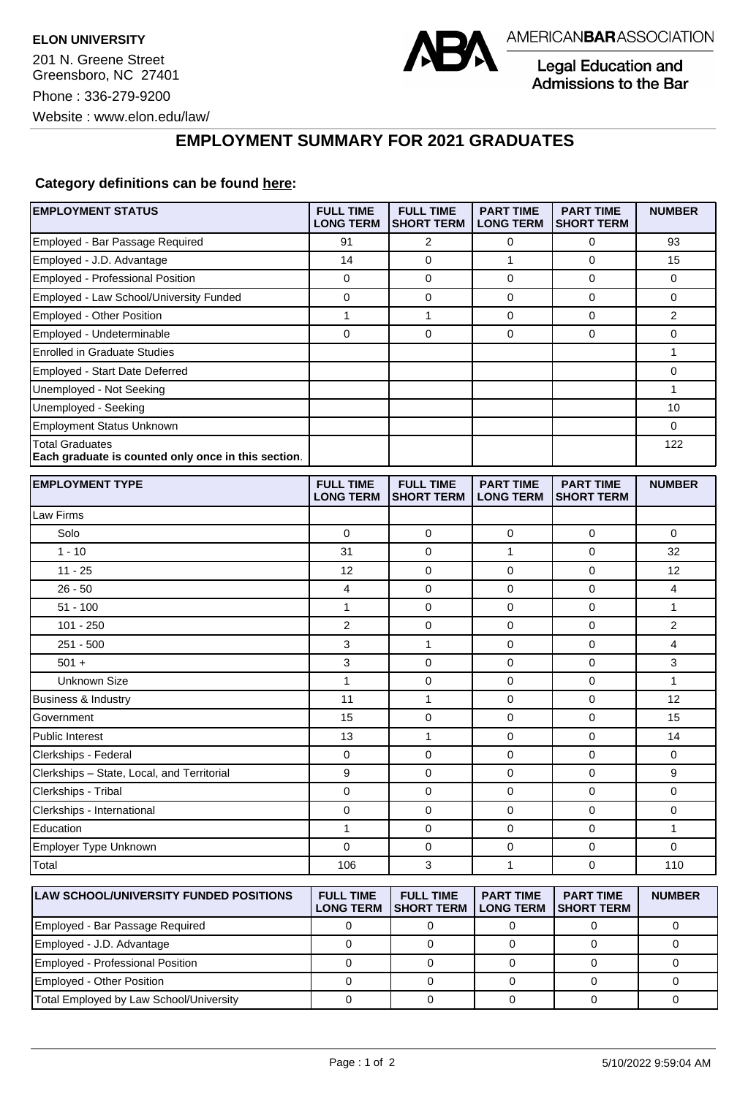

Legal Education and Admissions to the Bar

## **EMPLOYMENT SUMMARY FOR 2021 GRADUATES**

## **Category definitions can be found [here:](https://www.americanbar.org/content/dam/aba/administrative/legal_education_and_admissions_to_the_bar/Questionnaires/2021/2022-employment-protocols-for-the-class-of-2021-september-2021.pdf)**

| <b>EMPLOYMENT STATUS</b>                                                      | <b>FULL TIME</b><br><b>LONG TERM</b> | <b>FULL TIME</b><br><b>SHORT TERM</b> | <b>PART TIME</b><br><b>LONG TERM</b> | <b>PART TIME</b><br><b>SHORT TERM</b> | <b>NUMBER</b> |
|-------------------------------------------------------------------------------|--------------------------------------|---------------------------------------|--------------------------------------|---------------------------------------|---------------|
| Employed - Bar Passage Required                                               | 91                                   | 2                                     | 0                                    | 0                                     | 93            |
| Employed - J.D. Advantage                                                     | 14                                   | $\mathbf 0$                           | 1                                    | 0                                     | 15            |
| Employed - Professional Position                                              | 0                                    | $\mathbf 0$                           | 0                                    | $\mathbf 0$                           | 0             |
| Employed - Law School/University Funded                                       | 0                                    | $\mathbf 0$                           | 0                                    | $\mathbf 0$                           | 0             |
| Employed - Other Position                                                     | 1                                    | 1                                     | 0                                    | $\mathbf 0$                           | 2             |
| Employed - Undeterminable                                                     | 0                                    | $\mathbf 0$                           | 0                                    | $\mathbf 0$                           | 0             |
| <b>Enrolled in Graduate Studies</b>                                           |                                      |                                       |                                      |                                       | 1             |
| Employed - Start Date Deferred                                                |                                      |                                       |                                      |                                       | 0             |
| Unemployed - Not Seeking                                                      |                                      |                                       |                                      |                                       | $\mathbf{1}$  |
| Unemployed - Seeking                                                          |                                      |                                       |                                      |                                       | 10            |
| <b>Employment Status Unknown</b>                                              |                                      |                                       |                                      |                                       | 0             |
| <b>Total Graduates</b><br>Each graduate is counted only once in this section. |                                      |                                       |                                      |                                       | 122           |
| <b>EMPLOYMENT TYPE</b>                                                        | <b>FULL TIME</b><br><b>LONG TERM</b> | <b>FULL TIME</b><br><b>SHORT TERM</b> | <b>PART TIME</b><br><b>LONG TERM</b> | <b>PART TIME</b><br><b>SHORT TERM</b> | <b>NUMBER</b> |
| Law Firms                                                                     |                                      |                                       |                                      |                                       |               |
| Solo                                                                          | 0                                    | 0                                     | 0                                    | $\mathbf 0$                           | 0             |
| $1 - 10$                                                                      | 31                                   | $\mathbf 0$                           | 1                                    | 0                                     | 32            |
| $11 - 25$                                                                     | 12                                   | $\mathbf 0$                           | 0                                    | $\mathbf 0$                           | 12            |
| $26 - 50$                                                                     | 4                                    | $\mathbf 0$                           | 0                                    | $\mathbf 0$                           | 4             |
| $51 - 100$                                                                    | $\mathbf{1}$                         | $\mathbf 0$                           | 0                                    | $\mathbf 0$                           | $\mathbf{1}$  |
| $101 - 250$                                                                   | 2                                    | 0                                     | 0                                    | 0                                     | 2             |
| $251 - 500$                                                                   | 3                                    | 1                                     | 0                                    | 0                                     | 4             |
| $501 +$                                                                       | 3                                    | $\mathbf 0$                           | 0                                    | $\mathbf 0$                           | 3             |
| <b>Unknown Size</b>                                                           | 1                                    | 0                                     | 0                                    | $\mathbf 0$                           | 1             |
| Business & Industry                                                           | 11                                   | $\mathbf{1}$                          | 0                                    | 0                                     | 12            |
| Government                                                                    | 15                                   | 0                                     | 0                                    | 0                                     | 15            |
| Public Interest                                                               | 13                                   | $\mathbf{1}$                          | 0                                    | $\mathbf 0$                           | 14            |
| Clerkships - Federal                                                          | 0                                    | $\mathbf 0$                           | 0                                    | $\mathbf 0$                           | 0             |
| Clerkships - State, Local, and Territorial                                    | 9                                    | 0                                     | $\mathbf 0$                          | $\mathbf 0$                           | 9             |
| Clerkships - Tribal                                                           | 0                                    | 0                                     | 0                                    | 0                                     | 0             |
| Clerkships - International                                                    | 0                                    | $\mathbf 0$                           | 0                                    | $\mathbf 0$                           | 0             |
| Education                                                                     | 1                                    | 0                                     | 0                                    | 0                                     | 1             |
| Employer Type Unknown                                                         | 0                                    | $\mathbf 0$                           | 0                                    | 0                                     | 0             |
| Total                                                                         | 106                                  | 3                                     | 1                                    | $\mathbf 0$                           | 110           |
| <b>LAW SCHOOL/UNIVERSITY FUNDED POSITIONS</b>                                 | <b>FULL TIME</b><br><b>LONG TERM</b> | <b>FULL TIME</b><br><b>SHORT TERM</b> | <b>PART TIME</b><br><b>LONG TERM</b> | <b>PART TIME</b><br><b>SHORT TERM</b> | <b>NUMBER</b> |
| Employed - Bar Passage Required                                               | 0                                    | 0                                     | $\pmb{0}$                            | 0                                     | 0             |
| Employed - J.D. Advantage                                                     | $\pmb{0}$                            | $\pmb{0}$                             | 0                                    | $\mathbf 0$                           | 0             |

Employed - Professional Position 0 0 0 0 0 Employed - Other Position 0 0 0 0 0 Total Employed by Law School/University 0 0 0 0 0